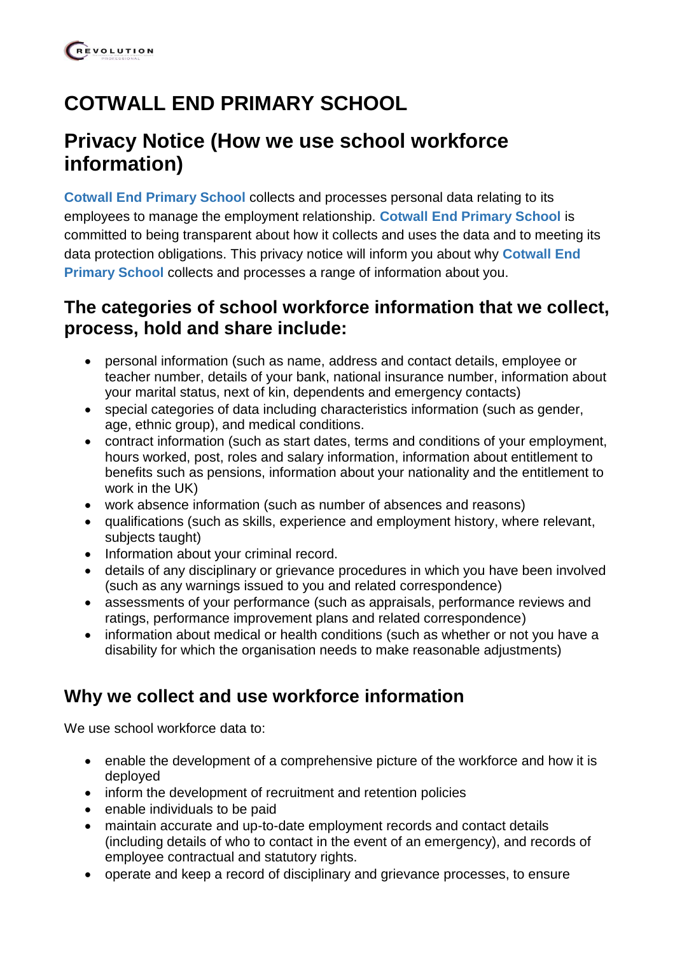# **COTWALL END PRIMARY SCHOOL**

## **Privacy Notice (How we use school workforce information)**

**Cotwall End Primary School** collects and processes personal data relating to its employees to manage the employment relationship. **Cotwall End Primary School** is committed to being transparent about how it collects and uses the data and to meeting its data protection obligations. This privacy notice will inform you about why **Cotwall End Primary School** collects and processes a range of information about you.

### **The categories of school workforce information that we collect, process, hold and share include:**

- personal information (such as name, address and contact details, employee or teacher number, details of your bank, national insurance number, information about your marital status, next of kin, dependents and emergency contacts)
- special categories of data including characteristics information (such as gender, age, ethnic group), and medical conditions.
- contract information (such as start dates, terms and conditions of your employment, hours worked, post, roles and salary information, information about entitlement to benefits such as pensions, information about your nationality and the entitlement to work in the UK)
- work absence information (such as number of absences and reasons)
- qualifications (such as skills, experience and employment history, where relevant, subjects taught)
- Information about your criminal record.
- details of any disciplinary or grievance procedures in which you have been involved (such as any warnings issued to you and related correspondence)
- assessments of your performance (such as appraisals, performance reviews and ratings, performance improvement plans and related correspondence)
- information about medical or health conditions (such as whether or not you have a disability for which the organisation needs to make reasonable adjustments)

## **Why we collect and use workforce information**

We use school workforce data to:

- enable the development of a comprehensive picture of the workforce and how it is deployed
- inform the development of recruitment and retention policies
- enable individuals to be paid
- maintain accurate and up-to-date employment records and contact details (including details of who to contact in the event of an emergency), and records of employee contractual and statutory rights.
- operate and keep a record of disciplinary and grievance processes, to ensure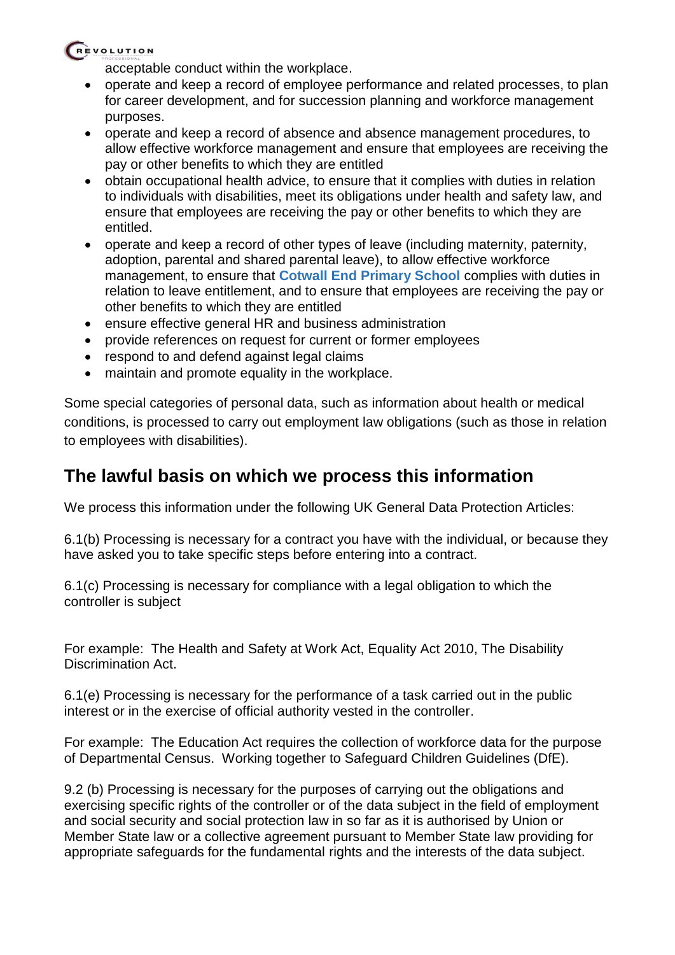### REVOLUTION

acceptable conduct within the workplace.

- operate and keep a record of employee performance and related processes, to plan for career development, and for succession planning and workforce management purposes.
- operate and keep a record of absence and absence management procedures, to allow effective workforce management and ensure that employees are receiving the pay or other benefits to which they are entitled
- obtain occupational health advice, to ensure that it complies with duties in relation to individuals with disabilities, meet its obligations under health and safety law, and ensure that employees are receiving the pay or other benefits to which they are entitled.
- operate and keep a record of other types of leave (including maternity, paternity, adoption, parental and shared parental leave), to allow effective workforce management, to ensure that **Cotwall End Primary School** complies with duties in relation to leave entitlement, and to ensure that employees are receiving the pay or other benefits to which they are entitled
- ensure effective general HR and business administration
- provide references on request for current or former employees
- respond to and defend against legal claims
- maintain and promote equality in the workplace.

Some special categories of personal data, such as information about health or medical conditions, is processed to carry out employment law obligations (such as those in relation to employees with disabilities).

## **The lawful basis on which we process this information**

We process this information under the following UK General Data Protection Articles:

6.1(b) Processing is necessary for a contract you have with the individual, or because they have asked you to take specific steps before entering into a contract.

6.1(c) Processing is necessary for compliance with a legal obligation to which the controller is subject

For example: The Health and Safety at Work Act, Equality Act 2010, The Disability Discrimination Act.

6.1(e) Processing is necessary for the performance of a task carried out in the public interest or in the exercise of official authority vested in the controller.

For example: The Education Act requires the collection of workforce data for the purpose of Departmental Census. Working together to Safeguard Children Guidelines (DfE).

9.2 (b) Processing is necessary for the purposes of carrying out the obligations and exercising specific rights of the controller or of the data subject in the field of employment and social security and social protection law in so far as it is authorised by Union or Member State law or a collective agreement pursuant to Member State law providing for appropriate safeguards for the fundamental rights and the interests of the data subject.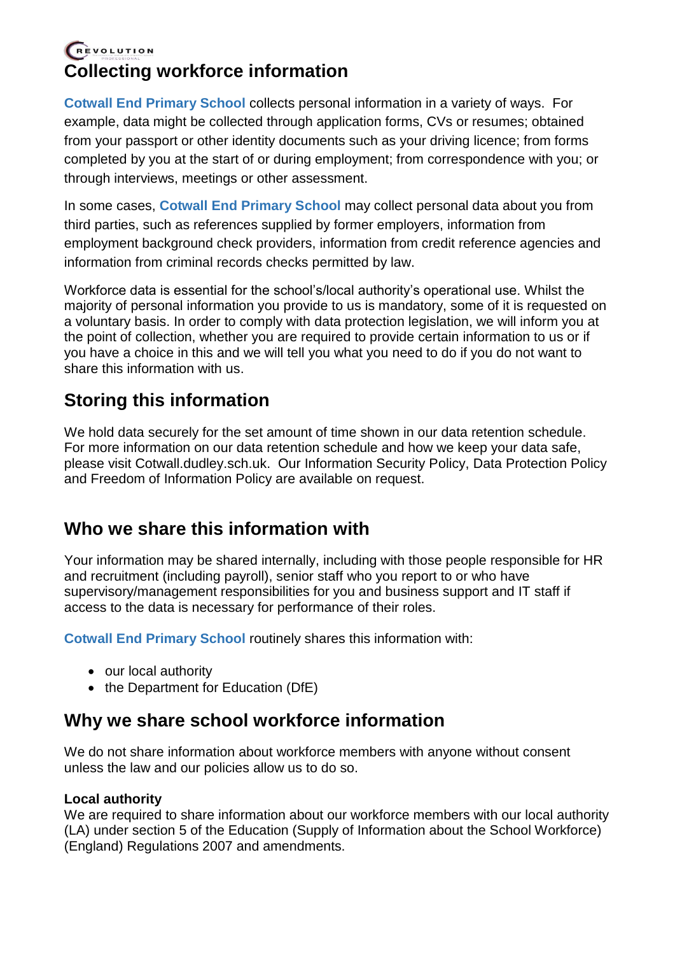### REVOLUTION **Collecting workforce information**

**Cotwall End Primary School** collects personal information in a variety of ways. For example, data might be collected through application forms, CVs or resumes; obtained from your passport or other identity documents such as your driving licence; from forms completed by you at the start of or during employment; from correspondence with you; or through interviews, meetings or other assessment.

In some cases, **Cotwall End Primary School** may collect personal data about you from third parties, such as references supplied by former employers, information from employment background check providers, information from credit reference agencies and information from criminal records checks permitted by law.

Workforce data is essential for the school's/local authority's operational use. Whilst the majority of personal information you provide to us is mandatory, some of it is requested on a voluntary basis. In order to comply with data protection legislation, we will inform you at the point of collection, whether you are required to provide certain information to us or if you have a choice in this and we will tell you what you need to do if you do not want to share this information with us.

## **Storing this information**

We hold data securely for the set amount of time shown in our data retention schedule. For more information on our data retention schedule and how we keep your data safe, please visit Cotwall.dudley.sch.uk. Our Information Security Policy, Data Protection Policy and Freedom of Information Policy are available on request.

## **Who we share this information with**

Your information may be shared internally, including with those people responsible for HR and recruitment (including payroll), senior staff who you report to or who have supervisory/management responsibilities for you and business support and IT staff if access to the data is necessary for performance of their roles.

**Cotwall End Primary School** routinely shares this information with:

- our local authority
- the Department for Education (DfE)

### **Why we share school workforce information**

We do not share information about workforce members with anyone without consent unless the law and our policies allow us to do so.

#### **Local authority**

We are required to share information about our workforce members with our local authority (LA) under section 5 of the Education (Supply of Information about the School Workforce) (England) Regulations 2007 and amendments.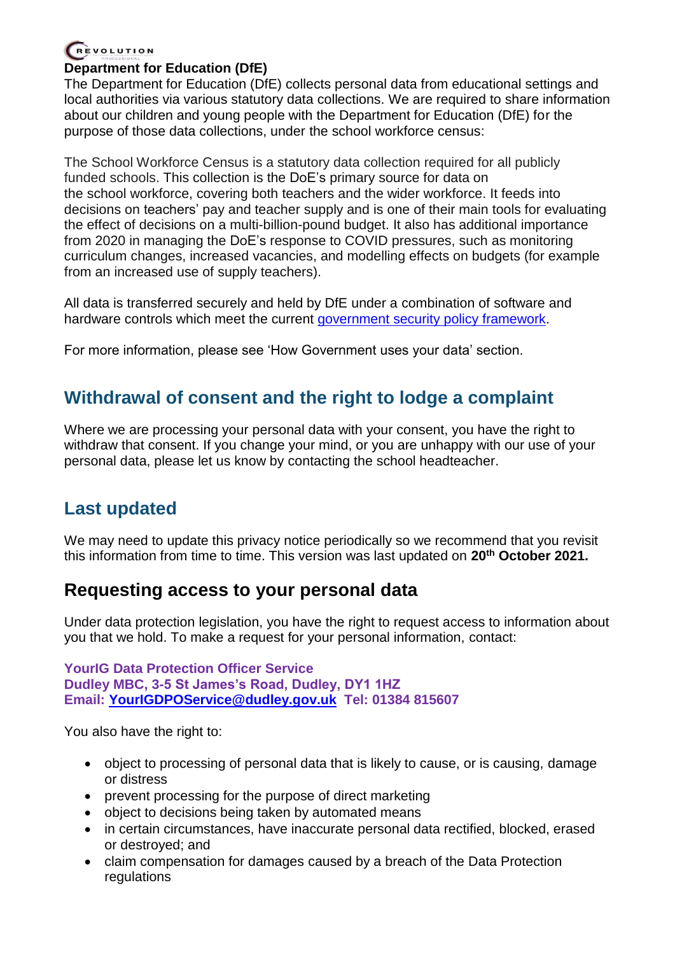### REVOLUTION

#### **Department for Education (DfE)**

The Department for Education (DfE) collects personal data from educational settings and local authorities via various statutory data collections. We are required to share information about our children and young people with the Department for Education (DfE) for the purpose of those data collections, under the school workforce census:

The School Workforce Census is a statutory data collection required for all publicly funded schools. This collection is the DoE's primary source for data on the school workforce, covering both teachers and the wider workforce. It feeds into decisions on teachers' pay and teacher supply and is one of their main tools for evaluating the effect of decisions on a multi-billion-pound budget. It also has additional importance from 2020 in managing the DoE's response to COVID pressures, such as monitoring curriculum changes, increased vacancies, and modelling effects on budgets (for example from an increased use of supply teachers).

All data is transferred securely and held by DfE under a combination of software and hardware controls which meet the current [government security policy framework.](https://www.gov.uk/government/publications/security-policy-framework)

For more information, please see 'How Government uses your data' section.

### **Withdrawal of consent and the right to lodge a complaint**

Where we are processing your personal data with your consent, you have the right to withdraw that consent. If you change your mind, or you are unhappy with our use of your personal data, please let us know by contacting the school headteacher.

## **Last updated**

We may need to update this privacy notice periodically so we recommend that you revisit this information from time to time. This version was last updated on **20th October 2021.**

### **Requesting access to your personal data**

Under data protection legislation, you have the right to request access to information about you that we hold. To make a request for your personal information, contact:

**YourIG Data Protection Officer Service Dudley MBC, 3-5 St James's Road, Dudley, DY1 1HZ Email: [YourIGDPOService@dudley.gov.uk](mailto:YourIGDPOService@dudley.gov.uk) Tel: 01384 815607**

You also have the right to:

- object to processing of personal data that is likely to cause, or is causing, damage or distress
- prevent processing for the purpose of direct marketing
- object to decisions being taken by automated means
- in certain circumstances, have inaccurate personal data rectified, blocked, erased or destroyed; and
- claim compensation for damages caused by a breach of the Data Protection regulations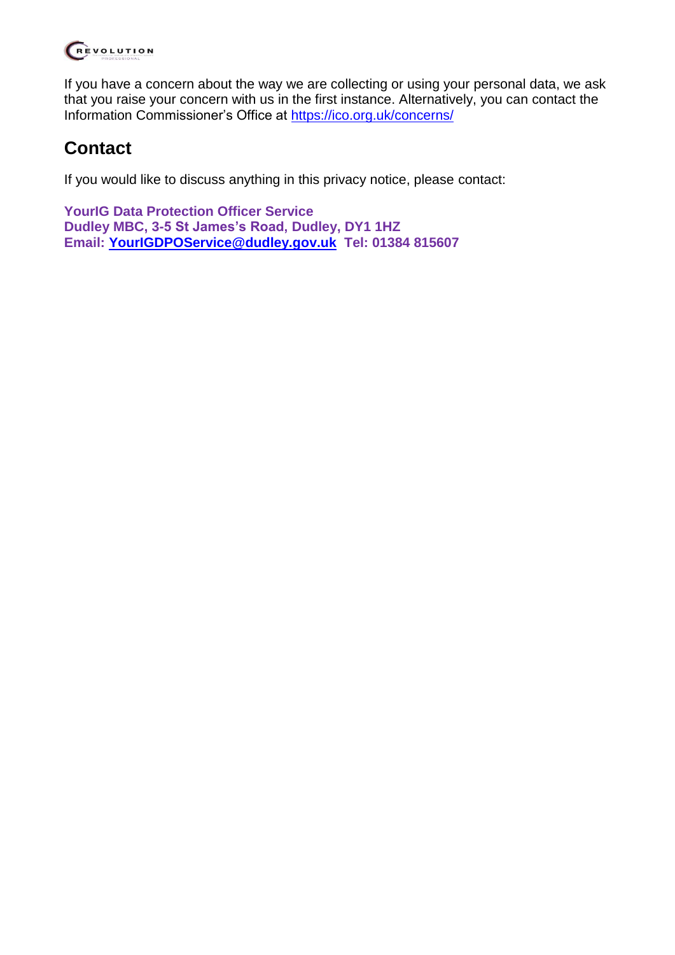

If you have a concern about the way we are collecting or using your personal data, we ask that you raise your concern with us in the first instance. Alternatively, you can contact the Information Commissioner's Office at<https://ico.org.uk/concerns/>

## **Contact**

If you would like to discuss anything in this privacy notice, please contact:

**YourIG Data Protection Officer Service Dudley MBC, 3-5 St James's Road, Dudley, DY1 1HZ Email: [YourIGDPOService@dudley.gov.uk](mailto:YourIGDPOService@dudley.gov.uk) Tel: 01384 815607**